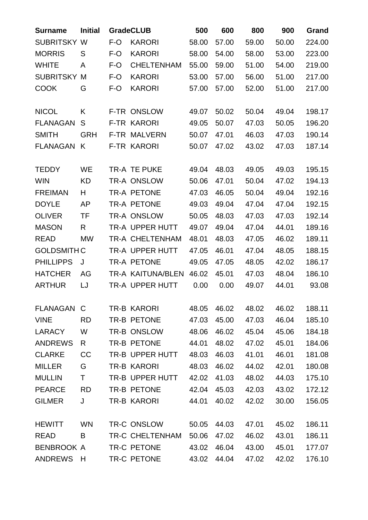| <b>Surname</b>     | <b>Initial</b> | <b>GradeCLUB</b> |                        | 500   | 600   | 800   | 900   | <b>Grand</b> |
|--------------------|----------------|------------------|------------------------|-------|-------|-------|-------|--------------|
| <b>SUBRITSKY</b>   | W              | F-O              | <b>KARORI</b>          | 58.00 | 57.00 | 59.00 | 50.00 | 224.00       |
| <b>MORRIS</b>      | S              | F-O              | <b>KARORI</b>          | 58.00 | 54.00 | 58.00 | 53.00 | 223.00       |
| <b>WHITE</b>       | A              | $F-O$            | <b>CHELTENHAM</b>      | 55.00 | 59.00 | 51.00 | 54.00 | 219.00       |
| <b>SUBRITSKY</b>   | M              | F-O              | <b>KARORI</b>          | 53.00 | 57.00 | 56.00 | 51.00 | 217.00       |
| <b>COOK</b>        | G              | F-O              | <b>KARORI</b>          | 57.00 | 57.00 | 52.00 | 51.00 | 217.00       |
| <b>NICOL</b>       | K              |                  | F-TR ONSLOW            | 49.07 | 50.02 | 50.04 | 49.04 | 198.17       |
| <b>FLANAGAN</b>    | S              |                  | <b>F-TR KARORI</b>     | 49.05 | 50.07 | 47.03 | 50.05 | 196.20       |
| <b>SMITH</b>       | <b>GRH</b>     |                  | <b>F-TR MALVERN</b>    | 50.07 | 47.01 | 46.03 | 47.03 | 190.14       |
| <b>FLANAGAN</b>    | K              |                  | <b>F-TR KARORI</b>     | 50.07 | 47.02 | 43.02 | 47.03 | 187.14       |
|                    |                |                  |                        |       |       |       |       |              |
| <b>TEDDY</b>       | <b>WE</b>      |                  | TR-A TE PUKE           | 49.04 | 48.03 | 49.05 | 49.03 | 195.15       |
| <b>WIN</b>         | <b>KD</b>      |                  | TR-A ONSLOW            | 50.06 | 47.01 | 50.04 | 47.02 | 194.13       |
| <b>FREIMAN</b>     | H              |                  | <b>TR-A PETONE</b>     | 47.03 | 46.05 | 50.04 | 49.04 | 192.16       |
| <b>DOYLE</b>       | <b>AP</b>      |                  | TR-A PETONE            | 49.03 | 49.04 | 47.04 | 47.04 | 192.15       |
| <b>OLIVER</b>      | <b>TF</b>      |                  | TR-A ONSLOW            | 50.05 | 48.03 | 47.03 | 47.03 | 192.14       |
| <b>MASON</b>       | R              |                  | TR-A UPPER HUTT        | 49.07 | 49.04 | 47.04 | 44.01 | 189.16       |
| <b>READ</b>        | <b>MW</b>      |                  | TR-A CHELTENHAM        | 48.01 | 48.03 | 47.05 | 46.02 | 189.11       |
| <b>GOLDSMITH C</b> |                |                  | TR-A UPPER HUTT        | 47.05 | 46.01 | 47.04 | 48.05 | 188.15       |
| <b>PHILLIPPS</b>   | J              |                  | <b>TR-A PETONE</b>     | 49.05 | 47.05 | 48.05 | 42.02 | 186.17       |
| <b>HATCHER</b>     | AG             |                  | TR-A KAITUNA/BLEN      | 46.02 | 45.01 | 47.03 | 48.04 | 186.10       |
| <b>ARTHUR</b>      | LJ             |                  | <b>TR-A UPPER HUTT</b> | 0.00  | 0.00  | 49.07 | 44.01 | 93.08        |
| FLANAGAN C         |                |                  | TR-B KARORI            | 48.05 | 46.02 | 48.02 | 46.02 | 188.11       |
| <b>VINE</b>        | <b>RD</b>      |                  | TR-B PETONE            | 47.03 | 45.00 | 47.03 | 46.04 | 185.10       |
| <b>LARACY</b>      | W              |                  | TR-B ONSLOW            | 48.06 | 46.02 | 45.04 | 45.06 | 184.18       |
| <b>ANDREWS</b>     | R.             |                  | TR-B PETONE            | 44.01 | 48.02 | 47.02 | 45.01 | 184.06       |
| <b>CLARKE</b>      | CC             |                  | TR-B UPPER HUTT        | 48.03 | 46.03 | 41.01 | 46.01 | 181.08       |
| <b>MILLER</b>      | G              |                  | <b>TR-B KARORI</b>     | 48.03 | 46.02 | 44.02 | 42.01 | 180.08       |
| <b>MULLIN</b>      | T              |                  | TR-B UPPER HUTT        | 42.02 | 41.03 | 48.02 | 44.03 | 175.10       |
| <b>PEARCE</b>      | <b>RD</b>      |                  | TR-B PETONE            | 42.04 | 45.03 | 42.03 | 43.02 | 172.12       |
| <b>GILMER</b>      | J              |                  | TR-B KARORI            | 44.01 | 40.02 | 42.02 | 30.00 | 156.05       |
| <b>HEWITT</b>      | <b>WN</b>      |                  | TR-C ONSLOW            | 50.05 | 44.03 | 47.01 | 45.02 | 186.11       |
| <b>READ</b>        | B              |                  | TR-C CHELTENHAM        | 50.06 | 47.02 | 46.02 | 43.01 | 186.11       |
| <b>BENBROOK A</b>  |                |                  | TR-C PETONE            | 43.02 | 46.04 | 43.00 | 45.01 | 177.07       |
| <b>ANDREWS</b>     | H              |                  | TR-C PETONE            | 43.02 | 44.04 | 47.02 | 42.02 | 176.10       |
|                    |                |                  |                        |       |       |       |       |              |